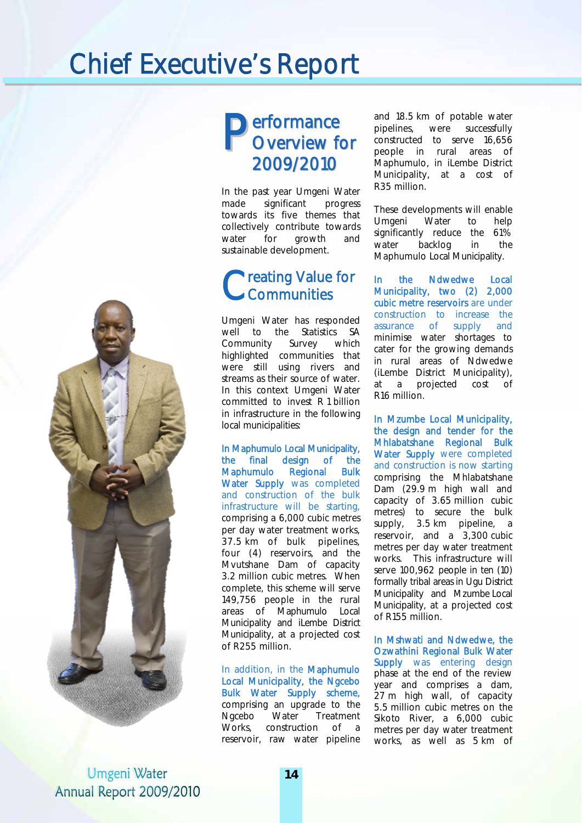## Chief Executive's Report



In the past year Umgeni Water made significant progress towards its five themes that collectively contribute towards water for growth and sustainable development.

#### Creating Value for<br>
Communities Communities

Umgeni Water has responded well to the Statistics SA Community Survey which highlighted communities that were still using rivers and streams as their source of water. In this context Umgeni Water committed to invest R 1 billion in infrastructure in the following local municipalities:

In Maphumulo Local Municipality, the final design of the Maphumulo Regional Bulk Water Supply was completed and construction of the bulk infrastructure will be starting, comprising a 6,000 cubic metres per day water treatment works, 37.5 km of bulk pipelines, four (4) reservoirs, and the Mvutshane Dam of capacity 3.2 million cubic metres. When complete, this scheme will serve 149,756 people in the rural areas of Maphumulo Local Municipality and iLembe District Municipality, at a projected cost of R255 million.

In addition, in the Maphumulo Local Municipality, the Ngcebo Bulk Water Supply scheme, comprising an upgrade to the Ngcebo Water Treatment Works, construction of a reservoir, raw water pipeline and 18.5 km of potable water pipelines, were successfully constructed to serve 16,656 people in rural areas of Maphumulo, in iLembe District Municipality, at a cost of R35 million.

These developments will enable Umgeni Water to help significantly reduce the 61% water backlog in the Maphumulo Local Municipality.

In the Ndwedwe Local Municipality, two (2) 2,000 cubic metre reservoirs are under construction to increase the assurance of supply and minimise water shortages to cater for the growing demands in rural areas of Ndwedwe (iLembe District Municipality), at a projected cost R16 million.

In Mzumbe Local Municipality, the design and tender for the Mhlabatshane Regional Bulk Water Supply were completed and construction is now starting comprising the Mhlabatshane Dam (29.9 m high wall and capacity of 3.65 million cubic metres) to secure the bulk supply, 3.5 km pipeline, a reservoir, and a 3,300 cubic metres per day water treatment works. This infrastructure will serve 100,962 people in ten (10) formally tribal areas in Ugu District Municipality and Mzumbe Local Municipality, at a projected cost of R155 million.

In Mshwati and Ndwedwe, the Ozwathini Regional Bulk Water **Supply** was entering design phase at the end of the review year and comprises a dam, 27 m high wall, of capacity 5.5 million cubic metres on the Sikoto River, a 6,000 cubic metres per day water treatment works, as well as 5 km of

**Umgeni Water** Annual Report 2009/2010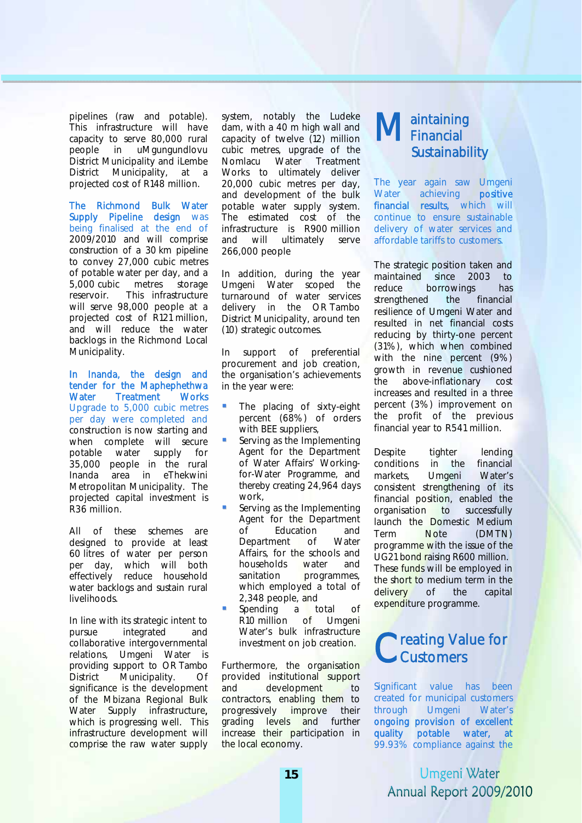pipelines (raw and potable). This infrastructure will have capacity to serve 80,000 rural people in uMgungundlovu District Municipality and iLembe District Municipality, at a projected cost of R148 million.

The Richmond Bulk Water Supply Pipeline design was being finalised at the end of 2009/2010 and will comprise construction of a 30 km pipeline to convey 27,000 cubic metres of potable water per day, and a 5,000 cubic metres storage reservoir. This infrastructure will serve 98,000 people at a projected cost of R121 million, and will reduce the water backlogs in the Richmond Local Municipality.

In Inanda, the design and tender for the Maphephethwa Water Treatment Works Upgrade to 5,000 cubic metres per day were completed and construction is now starting and when complete will secure potable water supply for 35,000 people in the rural Inanda area in eThekwini Metropolitan Municipality. The projected capital investment is R36 million.

All of these schemes are designed to provide at least 60 litres of water per person per day, which will both effectively reduce household water backlogs and sustain rural livelihoods.

In line with its strategic intent to pursue integrated and collaborative intergovernmental relations, Umgeni Water is providing support to OR Tambo District Municipality. Of significance is the development of the Mbizana Regional Bulk Water Supply infrastructure. which is progressing well. This infrastructure development will comprise the raw water supply system, notably the Ludeke dam, with a 40 m high wall and capacity of twelve (12) million cubic metres, upgrade of the Nomlacu Water Treatment Works to ultimately deliver 20,000 cubic metres per day, and development of the bulk potable water supply system. The estimated cost of the infrastructure is R900 million and will ultimately serve 266,000 people

In addition, during the year Umgeni Water scoped the turnaround of water services delivery in the OR Tambo District Municipality, around ten (10) strategic outcomes.

In support of preferential procurement and job creation, the organisation's achievements in the year were:

- The placing of sixty-eight percent (68%) of orders with BEE suppliers,
- Serving as the Implementing Agent for the Department of Water Affairs' Workingfor-Water Programme, and thereby creating 24,964 days work,
- Serving as the Implementing Agent for the Department of Education and Department of Water Affairs, for the schools and households water and sanitation programmes, which employed a total of 2,348 people, and
- Spending a total of R10 million of Umgeni Water's bulk infrastructure investment on job creation.

Furthermore, the organisation provided institutional support and development to contractors, enabling them to progressively improve their grading levels and further increase their participation in the local economy.

#### aintaining Maintaining<br> **MFinancial** Sustainability

The year again saw Umgeni Water achieving **positive** financial results, which will continue to ensure sustainable delivery of water services and affordable tariffs to customers.

The strategic position taken and maintained since 2003 to reduce borrowings has strengthened the financial resilience of Umgeni Water and resulted in net financial costs reducing by thirty-one percent (31%), which when combined with the nine percent (9%) growth in revenue cushioned the above-inflationary cost increases and resulted in a three percent (3%) improvement on the profit of the previous financial year to R541 million.

Despite tighter lending conditions in the financial markets, Umgeni Water's consistent strengthening of its financial position, enabled the organisation to successfully launch the Domestic Medium Term Note (DMTN) programme with the issue of the UG21 bond raising R600 million. These funds will be employed in the short to medium term in the delivery of the capital expenditure programme.

#### Creating Value for<br>Customers Customers

Significant value has been created for municipal customers through Umgeni Water's ongoing provision of excellent quality potable water, at 99.93% compliance against the

> **Umgeni Water** Annual Report 2009/2010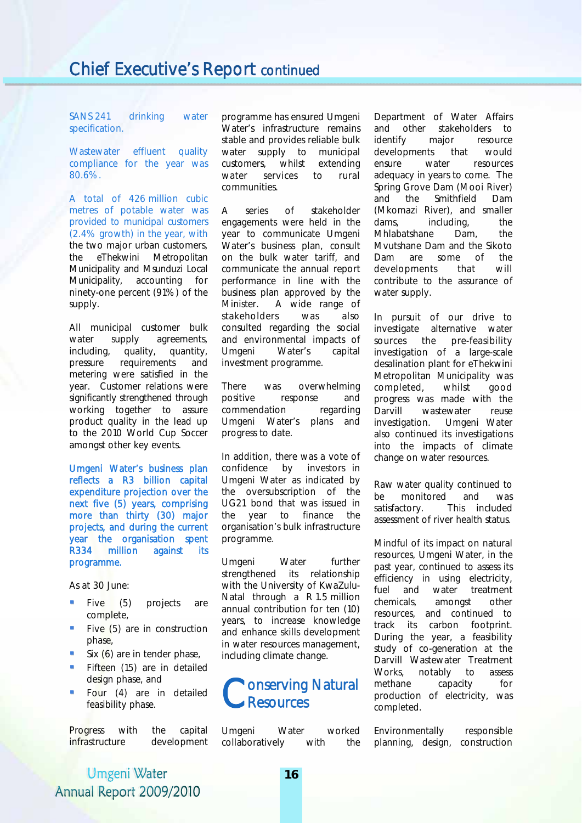SANS 241 drinking water specification.

Wastewater effluent quality compliance for the year was 80.6%.

A total of 426 million cubic metres of potable water was provided to municipal customers (2.4% growth) in the year, with the two major urban customers, the eThekwini Metropolitan Municipality and Msunduzi Local Municipality, accounting for ninety-one percent (91%) of the supply.

All municipal customer bulk water supply agreements, including, quality, quantity, pressure requirements and metering were satisfied in the year. Customer relations were significantly strengthened through working together to assure product quality in the lead up to the 2010 World Cup Soccer amongst other key events.

Umgeni Water's business plan reflects a R3 billion capital expenditure projection over the next five (5) years, comprising more than thirty (30) major projects, and during the current year the organisation spent R334 million against its programme.

As at 30 June:

- **Five** (5) projects are complete,
- Five (5) are in construction phase,
- Six (6) are in tender phase,
- Fifteen (15) are in detailed design phase, and
- **Four** (4) are in detailed feasibility phase.

Progress with the capital infrastructure development

programme has ensured Umgeni Water's infrastructure remains stable and provides reliable bulk water supply to municipal customers, whilst extending water services to rural communities.

A series of stakeholder engagements were held in the year to communicate Umgeni Water's business plan, consult on the bulk water tariff, and communicate the annual report performance in line with the business plan approved by the Minister. A wide range of stakeholders was also consulted regarding the social and environmental impacts of Umgeni Water's capital investment programme.

There was overwhelming positive response and commendation regarding Umgeni Water's plans and progress to date.

In addition, there was a vote of confidence by investors in Umgeni Water as indicated by the oversubscription of the UG21 bond that was issued in the year to finance the organisation's bulk infrastructure programme.

Umgeni Water further strengthened its relationship with the University of KwaZulu-Natal through a R 1.5 million annual contribution for ten (10) years, to increase knowledge and enhance skills development in water resources management, including climate change.



Umgeni Water worked collaboratively with the Department of Water Affairs and other stakeholders to identify major resource developments that would ensure water resources adequacy in years to come. The Spring Grove Dam (Mooi River) and the Smithfield Dam (Mkomazi River), and smaller dams, including, the Mhlabatshane Dam, the Mvutshane Dam and the Sikoto Dam are some of the developments that will contribute to the assurance of water supply.

In pursuit of our drive to investigate alternative water sources the pre-feasibility investigation of a large-scale desalination plant for eThekwini Metropolitan Municipality was completed, whilst good progress was made with the Darvill wastewater reuse investigation. Umgeni Water also continued its investigations into the impacts of climate change on water resources.

Raw water quality continued to be monitored and was satisfactory. This included assessment of river health status.

Mindful of its impact on natural resources, Umgeni Water, in the past year, continued to assess its efficiency in using electricity, fuel and water treatment chemicals, amongst other resources, and continued to track its carbon footprint. During the year, a feasibility study of co-generation at the Darvill Wastewater Treatment Works, notably to assess methane capacity for production of electricity, was completed.

Environmentally responsible planning, design, construction